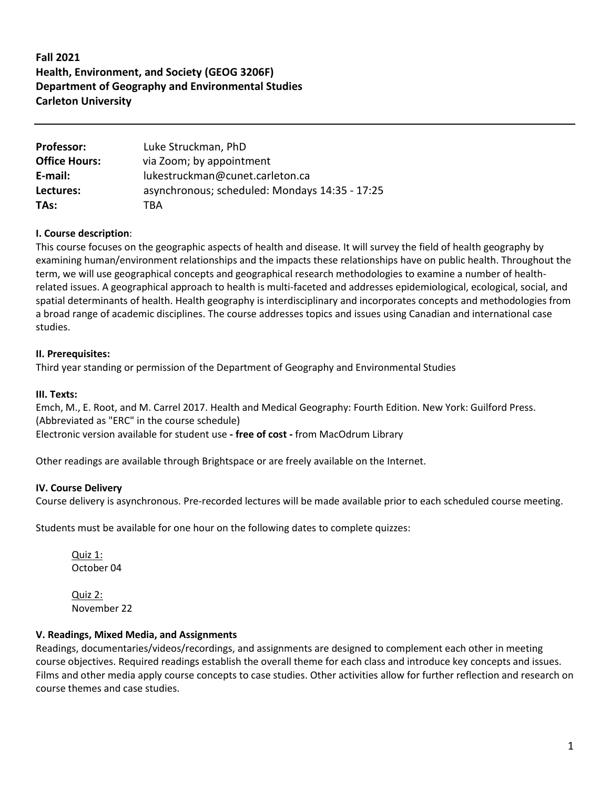# **Fall 2021 Health, Environment, and Society (GEOG 3206F) Department of Geography and Environmental Studies Carleton University**

| <b>Professor:</b>    | Luke Struckman, PhD                            |
|----------------------|------------------------------------------------|
| <b>Office Hours:</b> | via Zoom; by appointment                       |
| E-mail:              | lukestruckman@cunet.carleton.ca                |
| Lectures:            | asynchronous; scheduled: Mondays 14:35 - 17:25 |
| TAs:                 | TRA                                            |

## **I. Course description**:

This course focuses on the geographic aspects of health and disease. It will survey the field of health geography by examining human/environment relationships and the impacts these relationships have on public health. Throughout the term, we will use geographical concepts and geographical research methodologies to examine a number of healthrelated issues. A geographical approach to health is multi-faceted and addresses epidemiological, ecological, social, and spatial determinants of health. Health geography is interdisciplinary and incorporates concepts and methodologies from a broad range of academic disciplines. The course addresses topics and issues using Canadian and international case studies.

### **II. Prerequisites:**

Third year standing or permission of the Department of Geography and Environmental Studies

### **III. Texts:**

Emch, M., E. Root, and M. Carrel 2017. Health and Medical Geography: Fourth Edition. New York: Guilford Press. (Abbreviated as "ERC" in the course schedule) Electronic version available for student use **- free of cost -** from MacOdrum Library

Other readings are available through Brightspace or are freely available on the Internet.

### **IV. Course Delivery**

Course delivery is asynchronous. Pre-recorded lectures will be made available prior to each scheduled course meeting.

Students must be available for one hour on the following dates to complete quizzes:

Quiz 1: October 04

Quiz 2: November 22

## **V. Readings, Mixed Media, and Assignments**

Readings, documentaries/videos/recordings, and assignments are designed to complement each other in meeting course objectives. Required readings establish the overall theme for each class and introduce key concepts and issues. Films and other media apply course concepts to case studies. Other activities allow for further reflection and research on course themes and case studies.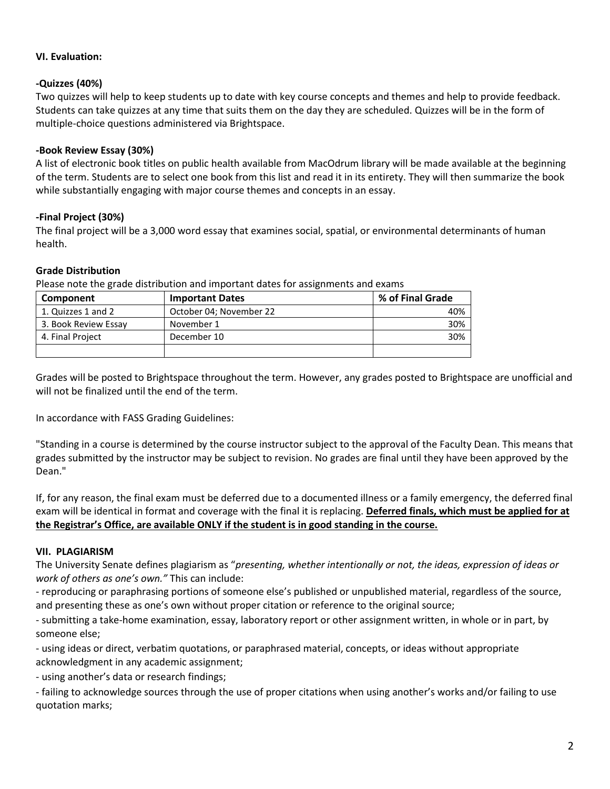## **VI. Evaluation:**

## **-Quizzes (40%)**

Two quizzes will help to keep students up to date with key course concepts and themes and help to provide feedback. Students can take quizzes at any time that suits them on the day they are scheduled. Quizzes will be in the form of multiple-choice questions administered via Brightspace.

### **-Book Review Essay (30%)**

A list of electronic book titles on public health available from MacOdrum library will be made available at the beginning of the term. Students are to select one book from this list and read it in its entirety. They will then summarize the book while substantially engaging with major course themes and concepts in an essay.

## **-Final Project (30%)**

The final project will be a 3,000 word essay that examines social, spatial, or environmental determinants of human health.

## **Grade Distribution**

Please note the grade distribution and important dates for assignments and exams

| Component            | <b>Important Dates</b>  | % of Final Grade |
|----------------------|-------------------------|------------------|
| 1. Quizzes 1 and 2   | October 04; November 22 | 40%              |
| 3. Book Review Essay | November 1              | 30%              |
| 4. Final Project     | December 10             | 30%              |
|                      |                         |                  |

Grades will be posted to Brightspace throughout the term. However, any grades posted to Brightspace are unofficial and will not be finalized until the end of the term.

In accordance with FASS Grading Guidelines:

"Standing in a course is determined by the course instructor subject to the approval of the Faculty Dean. This means that grades submitted by the instructor may be subject to revision. No grades are final until they have been approved by the Dean."

If, for any reason, the final exam must be deferred due to a documented illness or a family emergency, the deferred final exam will be identical in format and coverage with the final it is replacing. **Deferred finals, which must be applied for at the Registrar's Office, are available ONLY if the student is in good standing in the course.**

### **VII. PLAGIARISM**

The University Senate defines plagiarism as "*presenting, whether intentionally or not, the ideas, expression of ideas or work of others as one's own."* This can include:

- reproducing or paraphrasing portions of someone else's published or unpublished material, regardless of the source, and presenting these as one's own without proper citation or reference to the original source;

- submitting a take-home examination, essay, laboratory report or other assignment written, in whole or in part, by someone else;

- using ideas or direct, verbatim quotations, or paraphrased material, concepts, or ideas without appropriate acknowledgment in any academic assignment;

- using another's data or research findings;

- failing to acknowledge sources through the use of proper citations when using another's works and/or failing to use quotation marks;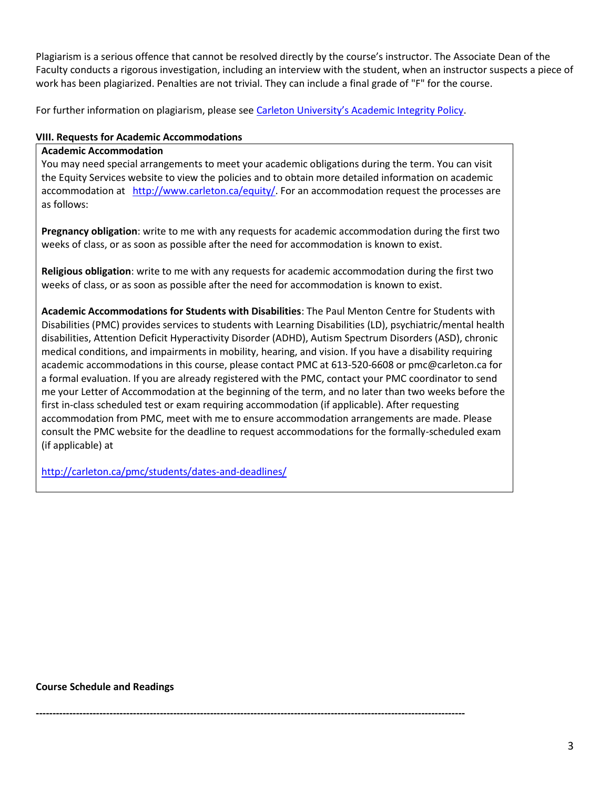Plagiarism is a serious offence that cannot be resolved directly by the course's instructor. The Associate Dean of the Faculty conducts a rigorous investigation, including an interview with the student, when an instructor suspects a piece of work has been plagiarized. Penalties are not trivial. They can include a final grade of "F" for the course.

For further information on plagiarism, please see [Carleton University's Academic Integrity Policy](https://carleton.ca/registrar/academic-integrity/).

## **VIII. Requests for Academic Accommodations**

### **Academic Accommodation**

You may need special arrangements to meet your academic obligations during the term. You can visit the Equity Services website to view the policies and to obtain more detailed information on academic accommodation at [http://www.carleton.ca/equity/.](http://www.carleton.ca/equity/) For an accommodation request the processes are as follows:

**Pregnancy obligation**: write to me with any requests for academic accommodation during the first two weeks of class, or as soon as possible after the need for accommodation is known to exist.

**Religious obligation**: write to me with any requests for academic accommodation during the first two weeks of class, or as soon as possible after the need for accommodation is known to exist.

**Academic Accommodations for Students with Disabilities**: The Paul Menton Centre for Students with Disabilities (PMC) provides services to students with Learning Disabilities (LD), psychiatric/mental health disabilities, Attention Deficit Hyperactivity Disorder (ADHD), Autism Spectrum Disorders (ASD), chronic medical conditions, and impairments in mobility, hearing, and vision. If you have a disability requiring academic accommodations in this course, please contact PMC at 613-520-6608 or pmc@carleton.ca for a formal evaluation. If you are already registered with the PMC, contact your PMC coordinator to send me your Letter of Accommodation at the beginning of the term, and no later than two weeks before the first in-class scheduled test or exam requiring accommodation (if applicable). After requesting accommodation from PMC, meet with me to ensure accommodation arrangements are made. Please consult the PMC website for the deadline to request accommodations for the formally-scheduled exam (if applicable) at

<http://carleton.ca/pmc/students/dates-and-deadlines/>

**Course Schedule and Readings**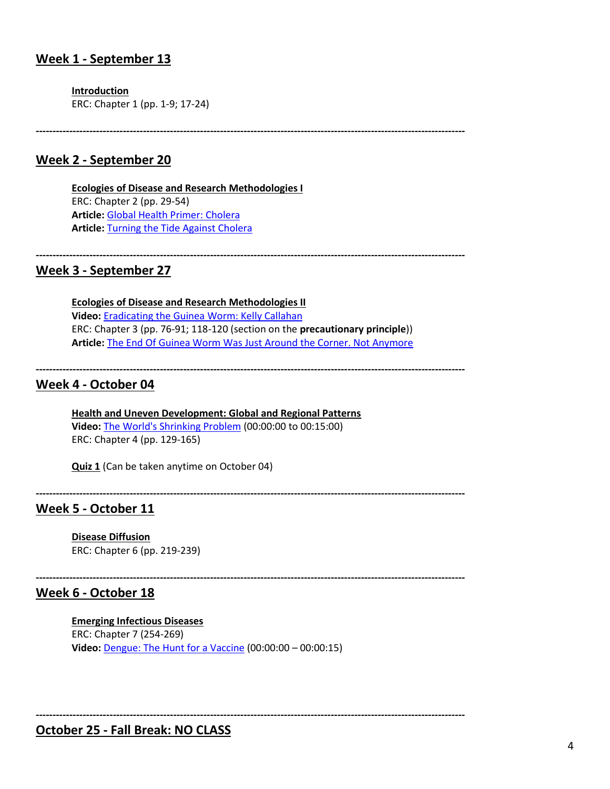## **Week 1 - September 13**

**Introduction**

ERC: Chapter 1 (pp. 1-9; 17-24)

**--------------------------------------------------------------------------------------------------------------------------------**

## **Week 2 - September 20**

**Ecologies of Disease and Research Methodologies I** ERC: Chapter 2 (pp. 29-54) **Article:** [Global Health Primer: Cholera](http://globalhealthprimer.emory.edu/diseases/cholera.html) **Article:** [Turning the Tide Against Cholera](https://www.nytimes.com/2017/02/06/health/cholera-vaccine-bangladesh.html)

#### **--------------------------------------------------------------------------------------------------------------------------------**

## **Week 3 - September 27**

**Ecologies of Disease and Research Methodologies II Video:** [Eradicating the Guinea Worm: Kelly Callahan](https://www.youtube.com/watch?v=0BYK-huptmk) ERC: Chapter 3 (pp. 76-91; 118-120 (section on the **precautionary principle**)) **Article:** [The End Of Guinea Worm Was Just Around the Corner. Not Anymore](The%20End%20Of%20Guinea%20Worm%20Was%20Just%20Around%20the%20Corner.%20Not%20Anymore)

**--------------------------------------------------------------------------------------------------------------------------------**

# **Week 4 - October 04**

**Health and Uneven Development: Global and Regional Patterns Video:** [The World's Shrinking Problem](https://www.tvo.org/video/the-worlds-shrinking-problem) (00:00:00 to 00:15:00) ERC: Chapter 4 (pp. 129-165)

**Quiz 1** (Can be taken anytime on October 04)

**--------------------------------------------------------------------------------------------------------------------------------**

## **Week 5 - October 11**

**Disease Diffusion** ERC: Chapter 6 (pp. 219-239)

**--------------------------------------------------------------------------------------------------------------------------------**

## **Week 6 - October 18**

#### **Emerging Infectious Diseases**

ERC: Chapter 7 (254-269) **Video:** [Dengue: The Hunt for a Vaccine](https://www.youtube.com/watch?v=xnPK8vPNMfY) (00:00:00 – 00:00:15)

**--------------------------------------------------------------------------------------------------------------------------------**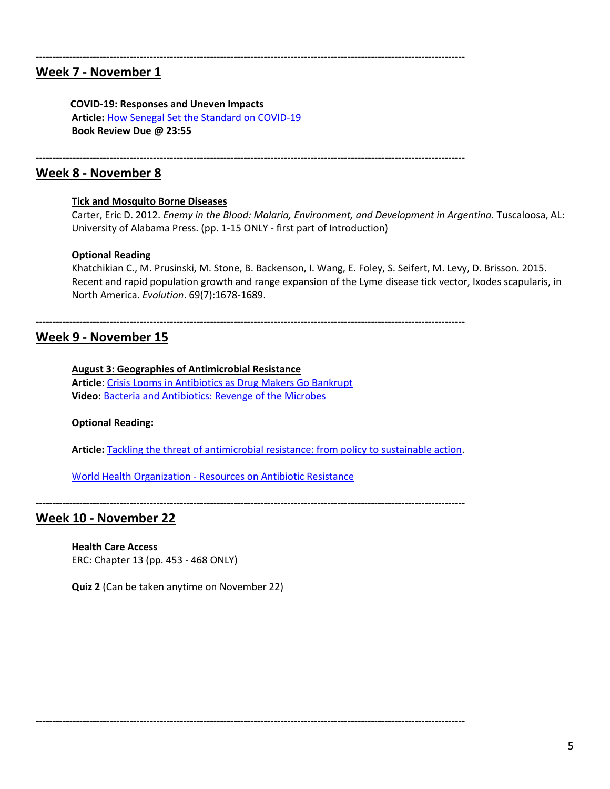## **Week 7 - November 1**

#### **COVID-19: Responses and Uneven Impacts**

**Article:** [How Senegal Set the Standard on COVID-19](https://www.devex.com/news/how-senegal-has-set-the-standard-on-covid-19-98266) **Book Review Due @ 23:55**

**--------------------------------------------------------------------------------------------------------------------------------**

**--------------------------------------------------------------------------------------------------------------------------------**

**--------------------------------------------------------------------------------------------------------------------------------**

## **Week 8 - November 8**

### **Tick and Mosquito Borne Diseases**

Carter, Eric D. 2012. *Enemy in the Blood: Malaria, Environment, and Development in Argentina.* Tuscaloosa, AL: University of Alabama Press. (pp. 1-15 ONLY - first part of Introduction)

### **Optional Reading**

Khatchikian C., M. Prusinski, M. Stone, B. Backenson, I. Wang, E. Foley, S. Seifert, M. Levy, D. Brisson. 2015. Recent and rapid population growth and range expansion of the Lyme disease tick vector, Ixodes scapularis, in North America. *Evolution*. 69(7):1678-1689.

# **Week 9 - November 15**

### **August 3: Geographies of Antimicrobial Resistance**

**Article**: [Crisis Looms in Antibiotics as Drug Makers Go Bankrupt](https://www.nytimes.com/2019/12/25/health/antibiotics-new-resistance.html) **Video:** [Bacteria and Antibiotics: Revenge of the Microbes](https://www.nytimes.com/2019/12/25/health/antibiotics-new-resistance.html)

### **Optional Reading:**

**Article:** [Tackling the threat of antimicrobial resistance: from policy](https://royalsocietypublishing.org/doi/10.1098/rstb.2014.0082) to sustainable action.

World Health Organization - [Resources on Antibiotic Resistance](https://www.who.int/antimicrobial-resistance/en/)

**--------------------------------------------------------------------------------------------------------------------------------**

**--------------------------------------------------------------------------------------------------------------------------------**

## **Week 10 - November 22**

## **Health Care Access**

ERC: Chapter 13 (pp. 453 - 468 ONLY)

**Quiz 2** (Can be taken anytime on November 22)